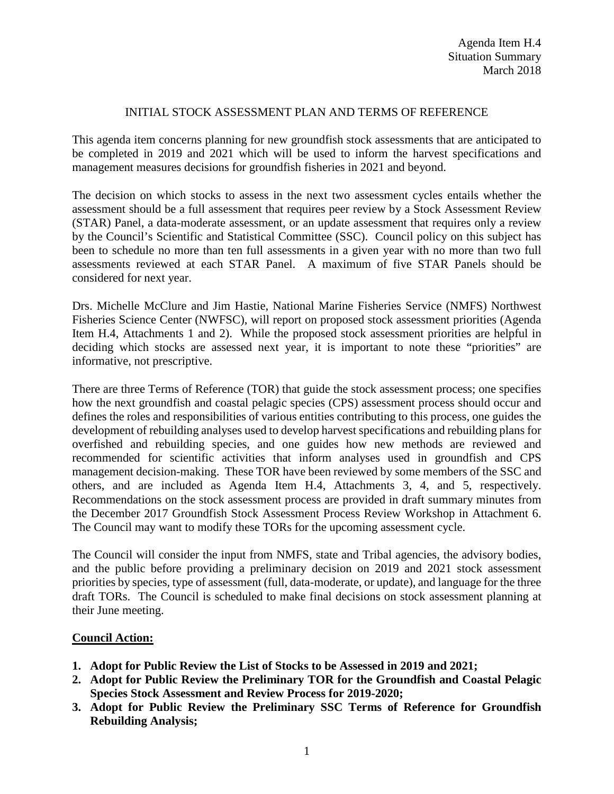## INITIAL STOCK ASSESSMENT PLAN AND TERMS OF REFERENCE

This agenda item concerns planning for new groundfish stock assessments that are anticipated to be completed in 2019 and 2021 which will be used to inform the harvest specifications and management measures decisions for groundfish fisheries in 2021 and beyond.

The decision on which stocks to assess in the next two assessment cycles entails whether the assessment should be a full assessment that requires peer review by a Stock Assessment Review (STAR) Panel, a data-moderate assessment, or an update assessment that requires only a review by the Council's Scientific and Statistical Committee (SSC). Council policy on this subject has been to schedule no more than ten full assessments in a given year with no more than two full assessments reviewed at each STAR Panel. A maximum of five STAR Panels should be considered for next year.

Drs. Michelle McClure and Jim Hastie, National Marine Fisheries Service (NMFS) Northwest Fisheries Science Center (NWFSC), will report on proposed stock assessment priorities (Agenda Item H.4, Attachments 1 and 2). While the proposed stock assessment priorities are helpful in deciding which stocks are assessed next year, it is important to note these "priorities" are informative, not prescriptive.

There are three Terms of Reference (TOR) that guide the stock assessment process; one specifies how the next groundfish and coastal pelagic species (CPS) assessment process should occur and defines the roles and responsibilities of various entities contributing to this process, one guides the development of rebuilding analyses used to develop harvest specifications and rebuilding plans for overfished and rebuilding species, and one guides how new methods are reviewed and recommended for scientific activities that inform analyses used in groundfish and CPS management decision-making. These TOR have been reviewed by some members of the SSC and others, and are included as Agenda Item H.4, Attachments 3, 4, and 5, respectively. Recommendations on the stock assessment process are provided in draft summary minutes from the December 2017 Groundfish Stock Assessment Process Review Workshop in Attachment 6. The Council may want to modify these TORs for the upcoming assessment cycle.

The Council will consider the input from NMFS, state and Tribal agencies, the advisory bodies, and the public before providing a preliminary decision on 2019 and 2021 stock assessment priorities by species, type of assessment (full, data-moderate, or update), and language for the three draft TORs. The Council is scheduled to make final decisions on stock assessment planning at their June meeting.

## **Council Action:**

- **1. Adopt for Public Review the List of Stocks to be Assessed in 2019 and 2021;**
- **2. Adopt for Public Review the Preliminary TOR for the Groundfish and Coastal Pelagic Species Stock Assessment and Review Process for 2019-2020;**
- **3. Adopt for Public Review the Preliminary SSC Terms of Reference for Groundfish Rebuilding Analysis;**